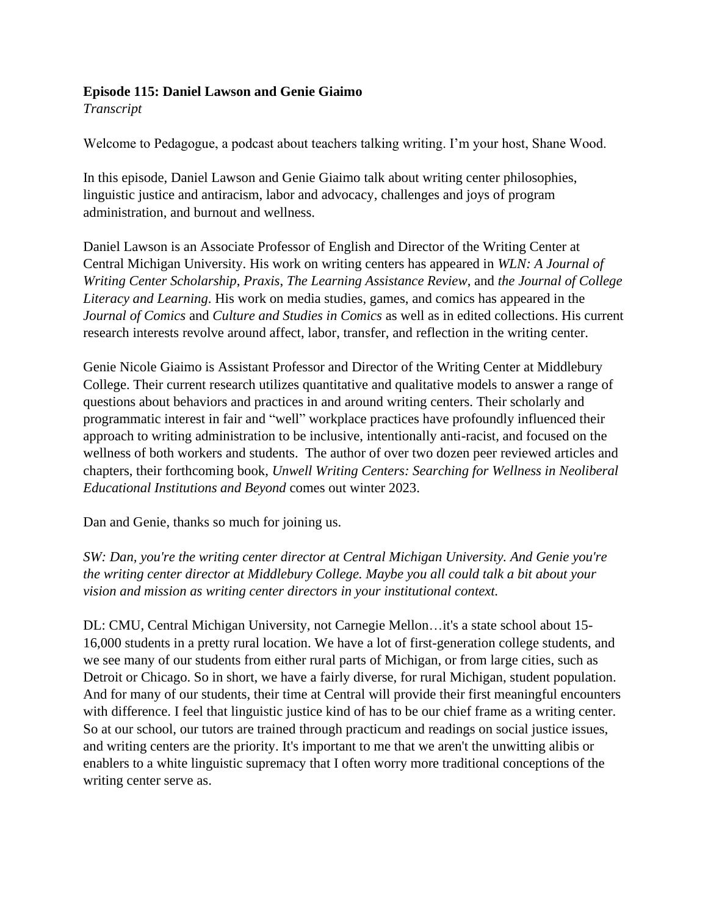## **Episode 115: Daniel Lawson and Genie Giaimo**

*Transcript* 

Welcome to Pedagogue, a podcast about teachers talking writing. I'm your host, Shane Wood.

In this episode, Daniel Lawson and Genie Giaimo talk about writing center philosophies, linguistic justice and antiracism, labor and advocacy, challenges and joys of program administration, and burnout and wellness.

Daniel Lawson is an Associate Professor of English and Director of the Writing Center at Central Michigan University. His work on writing centers has appeared in *WLN: A Journal of Writing Center Scholarship*, *Praxis*, *The Learning Assistance Review*, and *the Journal of College Literacy and Learning*. His work on media studies, games, and comics has appeared in the *Journal of Comics* and *Culture and Studies in Comics* as well as in edited collections. His current research interests revolve around affect, labor, transfer, and reflection in the writing center.

Genie Nicole Giaimo is Assistant Professor and Director of the Writing Center at Middlebury College. Their current research utilizes quantitative and qualitative models to answer a range of questions about behaviors and practices in and around writing centers. Their scholarly and programmatic interest in fair and "well" workplace practices have profoundly influenced their approach to writing administration to be inclusive, intentionally anti-racist, and focused on the wellness of both workers and students. The author of over two dozen peer reviewed articles and chapters, their forthcoming book, *Unwell Writing Centers: Searching for Wellness in Neoliberal Educational Institutions and Beyond* comes out winter 2023.

Dan and Genie, thanks so much for joining us.

*SW: Dan, you're the writing center director at Central Michigan University. And Genie you're the writing center director at Middlebury College. Maybe you all could talk a bit about your vision and mission as writing center directors in your institutional context.*

DL: CMU, Central Michigan University, not Carnegie Mellon…it's a state school about 15- 16,000 students in a pretty rural location. We have a lot of first-generation college students, and we see many of our students from either rural parts of Michigan, or from large cities, such as Detroit or Chicago. So in short, we have a fairly diverse, for rural Michigan, student population. And for many of our students, their time at Central will provide their first meaningful encounters with difference. I feel that linguistic justice kind of has to be our chief frame as a writing center. So at our school, our tutors are trained through practicum and readings on social justice issues, and writing centers are the priority. It's important to me that we aren't the unwitting alibis or enablers to a white linguistic supremacy that I often worry more traditional conceptions of the writing center serve as.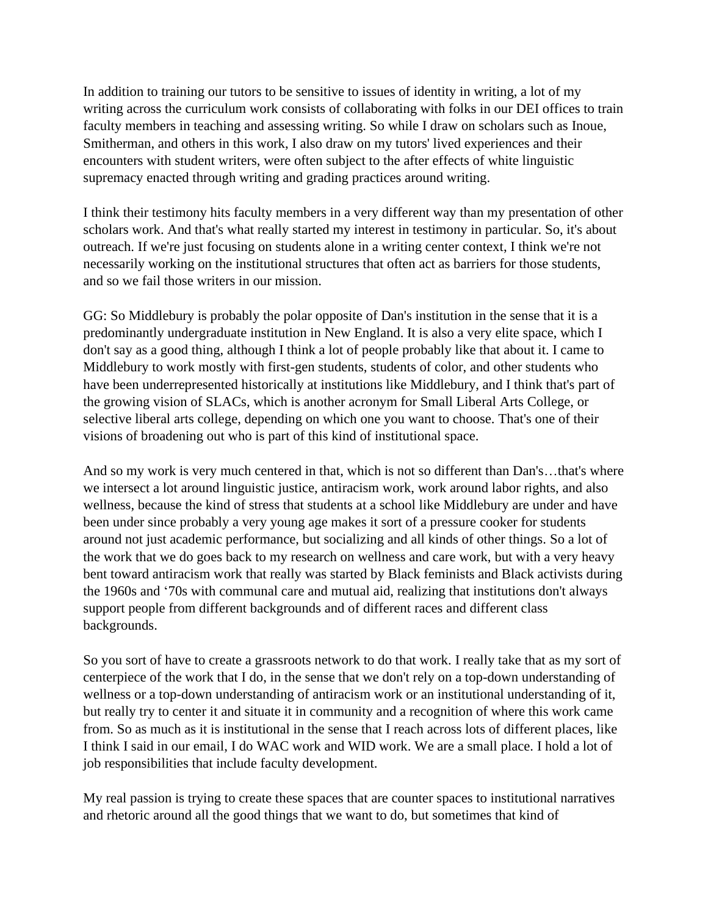In addition to training our tutors to be sensitive to issues of identity in writing, a lot of my writing across the curriculum work consists of collaborating with folks in our DEI offices to train faculty members in teaching and assessing writing. So while I draw on scholars such as Inoue, Smitherman, and others in this work, I also draw on my tutors' lived experiences and their encounters with student writers, were often subject to the after effects of white linguistic supremacy enacted through writing and grading practices around writing.

I think their testimony hits faculty members in a very different way than my presentation of other scholars work. And that's what really started my interest in testimony in particular. So, it's about outreach. If we're just focusing on students alone in a writing center context, I think we're not necessarily working on the institutional structures that often act as barriers for those students, and so we fail those writers in our mission.

GG: So Middlebury is probably the polar opposite of Dan's institution in the sense that it is a predominantly undergraduate institution in New England. It is also a very elite space, which I don't say as a good thing, although I think a lot of people probably like that about it. I came to Middlebury to work mostly with first-gen students, students of color, and other students who have been underrepresented historically at institutions like Middlebury, and I think that's part of the growing vision of SLACs, which is another acronym for Small Liberal Arts College, or selective liberal arts college, depending on which one you want to choose. That's one of their visions of broadening out who is part of this kind of institutional space.

And so my work is very much centered in that, which is not so different than Dan's…that's where we intersect a lot around linguistic justice, antiracism work, work around labor rights, and also wellness, because the kind of stress that students at a school like Middlebury are under and have been under since probably a very young age makes it sort of a pressure cooker for students around not just academic performance, but socializing and all kinds of other things. So a lot of the work that we do goes back to my research on wellness and care work, but with a very heavy bent toward antiracism work that really was started by Black feminists and Black activists during the 1960s and '70s with communal care and mutual aid, realizing that institutions don't always support people from different backgrounds and of different races and different class backgrounds.

So you sort of have to create a grassroots network to do that work. I really take that as my sort of centerpiece of the work that I do, in the sense that we don't rely on a top-down understanding of wellness or a top-down understanding of antiracism work or an institutional understanding of it, but really try to center it and situate it in community and a recognition of where this work came from. So as much as it is institutional in the sense that I reach across lots of different places, like I think I said in our email, I do WAC work and WID work. We are a small place. I hold a lot of job responsibilities that include faculty development.

My real passion is trying to create these spaces that are counter spaces to institutional narratives and rhetoric around all the good things that we want to do, but sometimes that kind of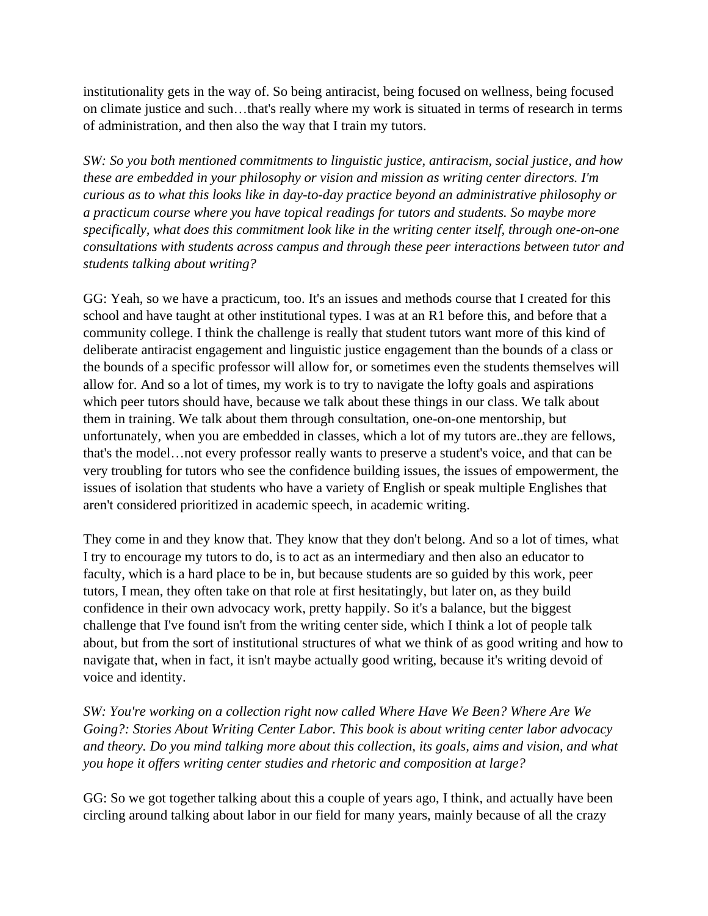institutionality gets in the way of. So being antiracist, being focused on wellness, being focused on climate justice and such…that's really where my work is situated in terms of research in terms of administration, and then also the way that I train my tutors.

*SW: So you both mentioned commitments to linguistic justice, antiracism, social justice, and how these are embedded in your philosophy or vision and mission as writing center directors. I'm curious as to what this looks like in day-to-day practice beyond an administrative philosophy or a practicum course where you have topical readings for tutors and students. So maybe more specifically, what does this commitment look like in the writing center itself, through one-on-one consultations with students across campus and through these peer interactions between tutor and students talking about writing?*

GG: Yeah, so we have a practicum, too. It's an issues and methods course that I created for this school and have taught at other institutional types. I was at an R1 before this, and before that a community college. I think the challenge is really that student tutors want more of this kind of deliberate antiracist engagement and linguistic justice engagement than the bounds of a class or the bounds of a specific professor will allow for, or sometimes even the students themselves will allow for. And so a lot of times, my work is to try to navigate the lofty goals and aspirations which peer tutors should have, because we talk about these things in our class. We talk about them in training. We talk about them through consultation, one-on-one mentorship, but unfortunately, when you are embedded in classes, which a lot of my tutors are..they are fellows, that's the model…not every professor really wants to preserve a student's voice, and that can be very troubling for tutors who see the confidence building issues, the issues of empowerment, the issues of isolation that students who have a variety of English or speak multiple Englishes that aren't considered prioritized in academic speech, in academic writing.

They come in and they know that. They know that they don't belong. And so a lot of times, what I try to encourage my tutors to do, is to act as an intermediary and then also an educator to faculty, which is a hard place to be in, but because students are so guided by this work, peer tutors, I mean, they often take on that role at first hesitatingly, but later on, as they build confidence in their own advocacy work, pretty happily. So it's a balance, but the biggest challenge that I've found isn't from the writing center side, which I think a lot of people talk about, but from the sort of institutional structures of what we think of as good writing and how to navigate that, when in fact, it isn't maybe actually good writing, because it's writing devoid of voice and identity.

*SW: You're working on a collection right now called Where Have We Been? Where Are We Going?: Stories About Writing Center Labor. This book is about writing center labor advocacy and theory. Do you mind talking more about this collection, its goals, aims and vision, and what you hope it offers writing center studies and rhetoric and composition at large?*

GG: So we got together talking about this a couple of years ago, I think, and actually have been circling around talking about labor in our field for many years, mainly because of all the crazy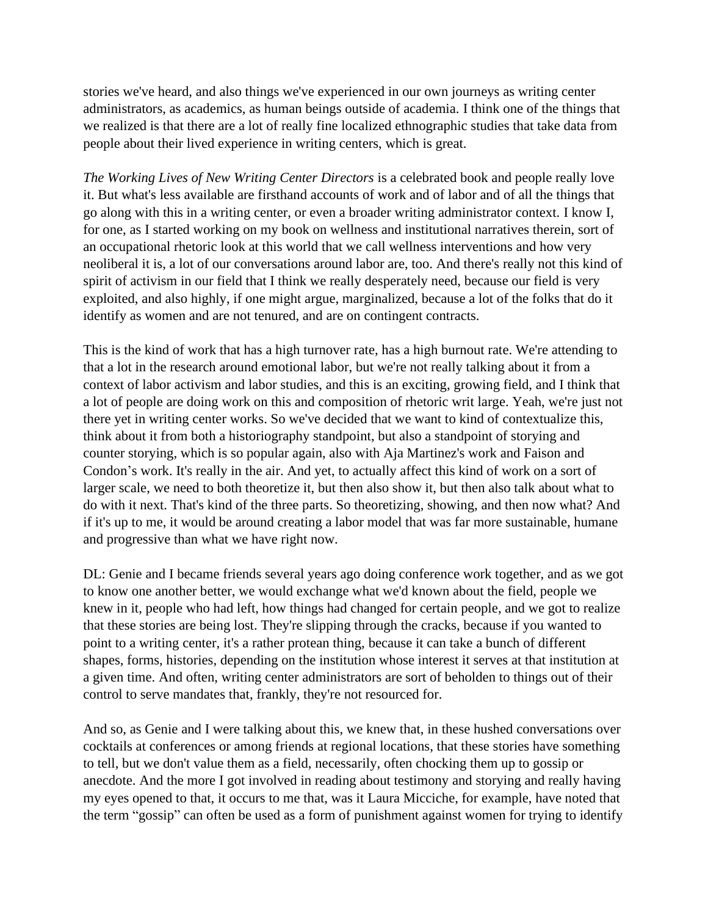stories we've heard, and also things we've experienced in our own journeys as writing center administrators, as academics, as human beings outside of academia. I think one of the things that we realized is that there are a lot of really fine localized ethnographic studies that take data from people about their lived experience in writing centers, which is great.

*The Working Lives of New Writing Center Directors* is a celebrated book and people really love it. But what's less available are firsthand accounts of work and of labor and of all the things that go along with this in a writing center, or even a broader writing administrator context. I know I, for one, as I started working on my book on wellness and institutional narratives therein, sort of an occupational rhetoric look at this world that we call wellness interventions and how very neoliberal it is, a lot of our conversations around labor are, too. And there's really not this kind of spirit of activism in our field that I think we really desperately need, because our field is very exploited, and also highly, if one might argue, marginalized, because a lot of the folks that do it identify as women and are not tenured, and are on contingent contracts.

This is the kind of work that has a high turnover rate, has a high burnout rate. We're attending to that a lot in the research around emotional labor, but we're not really talking about it from a context of labor activism and labor studies, and this is an exciting, growing field, and I think that a lot of people are doing work on this and composition of rhetoric writ large. Yeah, we're just not there yet in writing center works. So we've decided that we want to kind of contextualize this, think about it from both a historiography standpoint, but also a standpoint of storying and counter storying, which is so popular again, also with Aja Martinez's work and Faison and Condon's work. It's really in the air. And yet, to actually affect this kind of work on a sort of larger scale, we need to both theoretize it, but then also show it, but then also talk about what to do with it next. That's kind of the three parts. So theoretizing, showing, and then now what? And if it's up to me, it would be around creating a labor model that was far more sustainable, humane and progressive than what we have right now.

DL: Genie and I became friends several years ago doing conference work together, and as we got to know one another better, we would exchange what we'd known about the field, people we knew in it, people who had left, how things had changed for certain people, and we got to realize that these stories are being lost. They're slipping through the cracks, because if you wanted to point to a writing center, it's a rather protean thing, because it can take a bunch of different shapes, forms, histories, depending on the institution whose interest it serves at that institution at a given time. And often, writing center administrators are sort of beholden to things out of their control to serve mandates that, frankly, they're not resourced for.

And so, as Genie and I were talking about this, we knew that, in these hushed conversations over cocktails at conferences or among friends at regional locations, that these stories have something to tell, but we don't value them as a field, necessarily, often chocking them up to gossip or anecdote. And the more I got involved in reading about testimony and storying and really having my eyes opened to that, it occurs to me that, was it Laura Micciche, for example, have noted that the term "gossip" can often be used as a form of punishment against women for trying to identify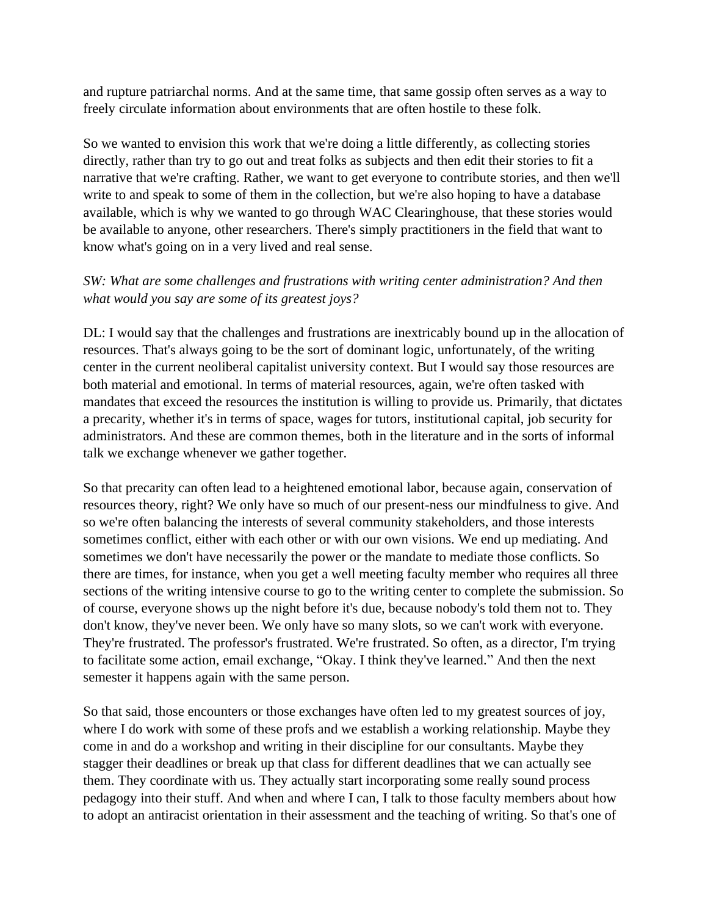and rupture patriarchal norms. And at the same time, that same gossip often serves as a way to freely circulate information about environments that are often hostile to these folk.

So we wanted to envision this work that we're doing a little differently, as collecting stories directly, rather than try to go out and treat folks as subjects and then edit their stories to fit a narrative that we're crafting. Rather, we want to get everyone to contribute stories, and then we'll write to and speak to some of them in the collection, but we're also hoping to have a database available, which is why we wanted to go through WAC Clearinghouse, that these stories would be available to anyone, other researchers. There's simply practitioners in the field that want to know what's going on in a very lived and real sense.

## *SW: What are some challenges and frustrations with writing center administration? And then what would you say are some of its greatest joys?*

DL: I would say that the challenges and frustrations are inextricably bound up in the allocation of resources. That's always going to be the sort of dominant logic, unfortunately, of the writing center in the current neoliberal capitalist university context. But I would say those resources are both material and emotional. In terms of material resources, again, we're often tasked with mandates that exceed the resources the institution is willing to provide us. Primarily, that dictates a precarity, whether it's in terms of space, wages for tutors, institutional capital, job security for administrators. And these are common themes, both in the literature and in the sorts of informal talk we exchange whenever we gather together.

So that precarity can often lead to a heightened emotional labor, because again, conservation of resources theory, right? We only have so much of our present-ness our mindfulness to give. And so we're often balancing the interests of several community stakeholders, and those interests sometimes conflict, either with each other or with our own visions. We end up mediating. And sometimes we don't have necessarily the power or the mandate to mediate those conflicts. So there are times, for instance, when you get a well meeting faculty member who requires all three sections of the writing intensive course to go to the writing center to complete the submission. So of course, everyone shows up the night before it's due, because nobody's told them not to. They don't know, they've never been. We only have so many slots, so we can't work with everyone. They're frustrated. The professor's frustrated. We're frustrated. So often, as a director, I'm trying to facilitate some action, email exchange, "Okay. I think they've learned." And then the next semester it happens again with the same person.

So that said, those encounters or those exchanges have often led to my greatest sources of joy, where I do work with some of these profs and we establish a working relationship. Maybe they come in and do a workshop and writing in their discipline for our consultants. Maybe they stagger their deadlines or break up that class for different deadlines that we can actually see them. They coordinate with us. They actually start incorporating some really sound process pedagogy into their stuff. And when and where I can, I talk to those faculty members about how to adopt an antiracist orientation in their assessment and the teaching of writing. So that's one of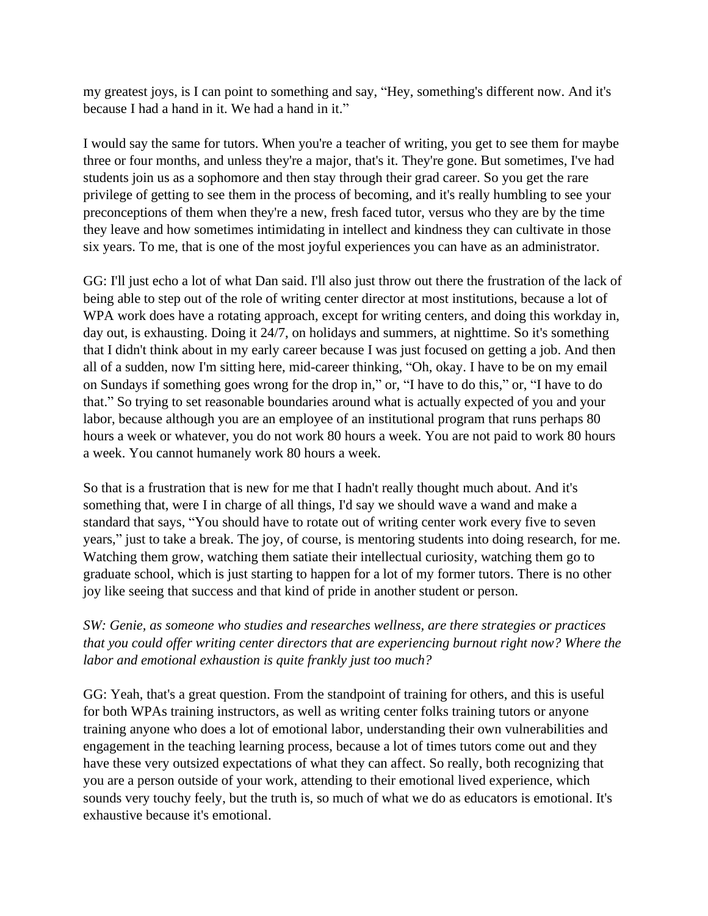my greatest joys, is I can point to something and say, "Hey, something's different now. And it's because I had a hand in it. We had a hand in it."

I would say the same for tutors. When you're a teacher of writing, you get to see them for maybe three or four months, and unless they're a major, that's it. They're gone. But sometimes, I've had students join us as a sophomore and then stay through their grad career. So you get the rare privilege of getting to see them in the process of becoming, and it's really humbling to see your preconceptions of them when they're a new, fresh faced tutor, versus who they are by the time they leave and how sometimes intimidating in intellect and kindness they can cultivate in those six years. To me, that is one of the most joyful experiences you can have as an administrator.

GG: I'll just echo a lot of what Dan said. I'll also just throw out there the frustration of the lack of being able to step out of the role of writing center director at most institutions, because a lot of WPA work does have a rotating approach, except for writing centers, and doing this workday in, day out, is exhausting. Doing it 24/7, on holidays and summers, at nighttime. So it's something that I didn't think about in my early career because I was just focused on getting a job. And then all of a sudden, now I'm sitting here, mid-career thinking, "Oh, okay. I have to be on my email on Sundays if something goes wrong for the drop in," or, "I have to do this," or, "I have to do that." So trying to set reasonable boundaries around what is actually expected of you and your labor, because although you are an employee of an institutional program that runs perhaps 80 hours a week or whatever, you do not work 80 hours a week. You are not paid to work 80 hours a week. You cannot humanely work 80 hours a week.

So that is a frustration that is new for me that I hadn't really thought much about. And it's something that, were I in charge of all things, I'd say we should wave a wand and make a standard that says, "You should have to rotate out of writing center work every five to seven years," just to take a break. The joy, of course, is mentoring students into doing research, for me. Watching them grow, watching them satiate their intellectual curiosity, watching them go to graduate school, which is just starting to happen for a lot of my former tutors. There is no other joy like seeing that success and that kind of pride in another student or person.

*SW: Genie, as someone who studies and researches wellness, are there strategies or practices that you could offer writing center directors that are experiencing burnout right now? Where the labor and emotional exhaustion is quite frankly just too much?*

GG: Yeah, that's a great question. From the standpoint of training for others, and this is useful for both WPAs training instructors, as well as writing center folks training tutors or anyone training anyone who does a lot of emotional labor, understanding their own vulnerabilities and engagement in the teaching learning process, because a lot of times tutors come out and they have these very outsized expectations of what they can affect. So really, both recognizing that you are a person outside of your work, attending to their emotional lived experience, which sounds very touchy feely, but the truth is, so much of what we do as educators is emotional. It's exhaustive because it's emotional.